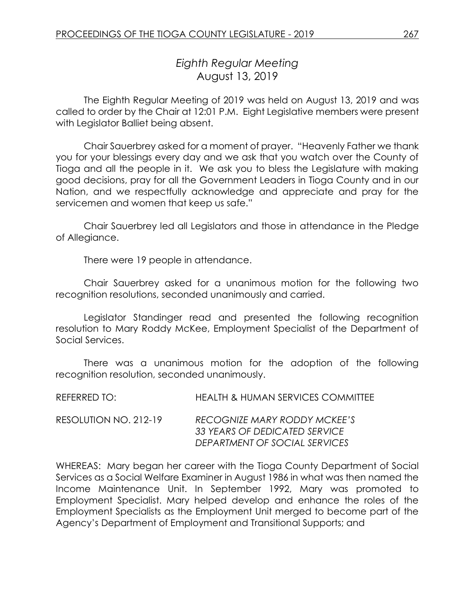# *Eighth Regular Meeting* August 13, 2019

The Eighth Regular Meeting of 2019 was held on August 13, 2019 and was called to order by the Chair at 12:01 P.M. Eight Legislative members were present with Legislator Balliet being absent.

Chair Sauerbrey asked for a moment of prayer. "Heavenly Father we thank you for your blessings every day and we ask that you watch over the County of Tioga and all the people in it. We ask you to bless the Legislature with making good decisions, pray for all the Government Leaders in Tioga County and in our Nation, and we respectfully acknowledge and appreciate and pray for the servicemen and women that keep us safe."

Chair Sauerbrey led all Legislators and those in attendance in the Pledge of Allegiance.

There were 19 people in attendance.

Chair Sauerbrey asked for a unanimous motion for the following two recognition resolutions, seconded unanimously and carried.

Legislator Standinger read and presented the following recognition resolution to Mary Roddy McKee, Employment Specialist of the Department of Social Services.

There was a unanimous motion for the adoption of the following recognition resolution, seconded unanimously.

| REFERRED TO: I        | <b>HEALTH &amp; HUMAN SERVICES COMMITTEE</b>                                                   |
|-----------------------|------------------------------------------------------------------------------------------------|
| RESOLUTION NO. 212-19 | RECOGNIZE MARY RODDY MCKEE'S<br>33 YEARS OF DEDICATED SERVICE<br>DEPARTMENT OF SOCIAL SERVICES |

WHEREAS: Mary began her career with the Tioga County Department of Social Services as a Social Welfare Examiner in August 1986 in what was then named the Income Maintenance Unit. In September 1992, Mary was promoted to Employment Specialist. Mary helped develop and enhance the roles of the Employment Specialists as the Employment Unit merged to become part of the Agency's Department of Employment and Transitional Supports; and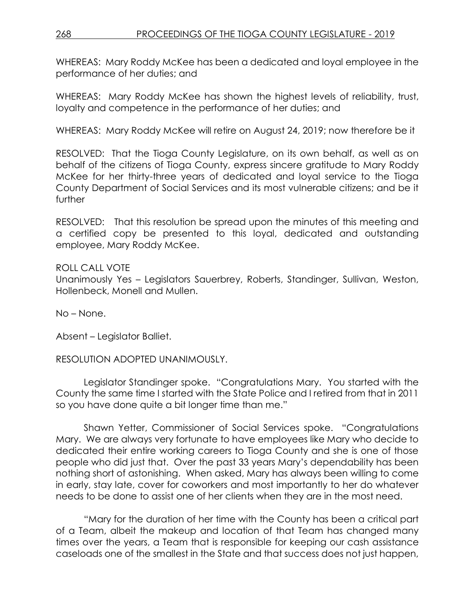WHEREAS: Mary Roddy McKee has been a dedicated and loyal employee in the performance of her duties; and

WHEREAS: Mary Roddy McKee has shown the highest levels of reliability, trust, loyalty and competence in the performance of her duties; and

WHEREAS: Mary Roddy McKee will retire on August 24, 2019; now therefore be it

RESOLVED:That the Tioga County Legislature, on its own behalf, as well as on behalf of the citizens of Tioga County, express sincere gratitude to Mary Roddy McKee for her thirty-three years of dedicated and loyal service to the Tioga County Department of Social Services and its most vulnerable citizens; and be it further

RESOLVED: That this resolution be spread upon the minutes of this meeting and a certified copy be presented to this loyal, dedicated and outstanding employee, Mary Roddy McKee.

### ROLL CALL VOTE Unanimously Yes – Legislators Sauerbrey, Roberts, Standinger, Sullivan, Weston, Hollenbeck, Monell and Mullen.

No – None.

Absent – Legislator Balliet.

RESOLUTION ADOPTED UNANIMOUSLY.

Legislator Standinger spoke. "Congratulations Mary. You started with the County the same time I started with the State Police and I retired from that in 2011 so you have done quite a bit longer time than me."

Shawn Yetter, Commissioner of Social Services spoke. "Congratulations Mary. We are always very fortunate to have employees like Mary who decide to dedicated their entire working careers to Tioga County and she is one of those people who did just that. Over the past 33 years Mary's dependability has been nothing short of astonishing. When asked, Mary has always been willing to come in early, stay late, cover for coworkers and most importantly to her do whatever needs to be done to assist one of her clients when they are in the most need.

"Mary for the duration of her time with the County has been a critical part of a Team, albeit the makeup and location of that Team has changed many times over the years, a Team that is responsible for keeping our cash assistance caseloads one of the smallest in the State and that success does not just happen,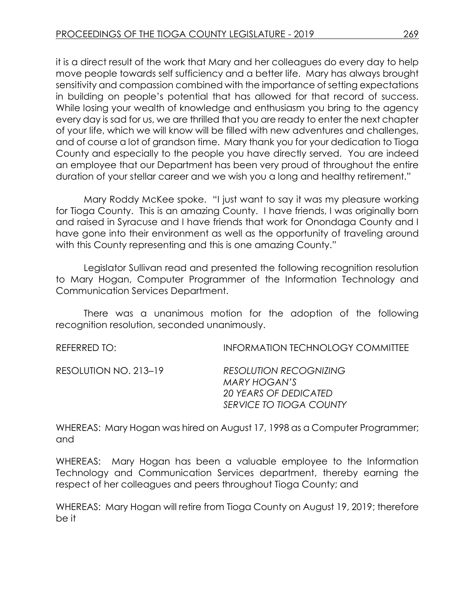it is a direct result of the work that Mary and her colleagues do every day to help move people towards self sufficiency and a better life. Mary has always brought sensitivity and compassion combined with the importance of setting expectations in building on people's potential that has allowed for that record of success. While losing your wealth of knowledge and enthusiasm you bring to the agency every day is sad for us, we are thrilled that you are ready to enter the next chapter of your life, which we will know will be filled with new adventures and challenges, and of course a lot of grandson time. Mary thank you for your dedication to Tioga County and especially to the people you have directly served. You are indeed an employee that our Department has been very proud of throughout the entire duration of your stellar career and we wish you a long and healthy retirement."

Mary Roddy McKee spoke. "I just want to say it was my pleasure working for Tioga County. This is an amazing County. I have friends, I was originally born and raised in Syracuse and I have friends that work for Onondaga County and I have gone into their environment as well as the opportunity of traveling around with this County representing and this is one amazing County."

Legislator Sullivan read and presented the following recognition resolution to Mary Hogan, Computer Programmer of the Information Technology and Communication Services Department.

There was a unanimous motion for the adoption of the following recognition resolution, seconded unanimously.

| REFERRED TO:          | <b>INFORMATION TECHNOLOGY COMMITTEE</b>                                                                  |
|-----------------------|----------------------------------------------------------------------------------------------------------|
| RESOLUTION NO. 213–19 | <b>RESOLUTION RECOGNIZING</b><br>MARY HOGAN'S<br><b>20 YEARS OF DEDICATED</b><br>SERVICE TO TIOGA COUNTY |

WHEREAS: Mary Hogan was hired on August 17, 1998 as a Computer Programmer; and

WHEREAS: Mary Hogan has been a valuable employee to the Information Technology and Communication Services department, thereby earning the respect of her colleagues and peers throughout Tioga County; and

WHEREAS: Mary Hogan will retire from Tioga County on August 19, 2019; therefore be it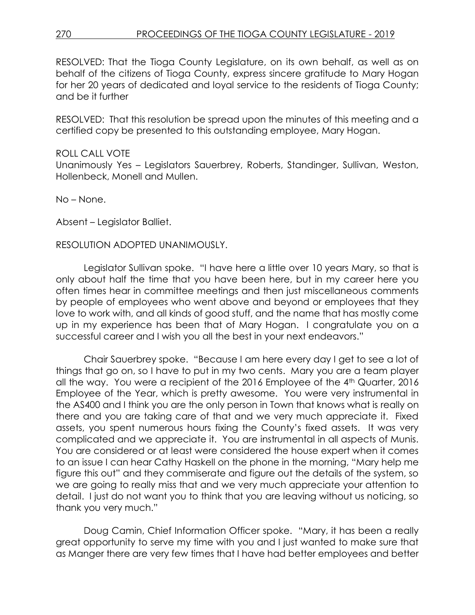RESOLVED: That the Tioga County Legislature, on its own behalf, as well as on behalf of the citizens of Tioga County, express sincere gratitude to Mary Hogan for her 20 years of dedicated and loyal service to the residents of Tioga County; and be it further

RESOLVED: That this resolution be spread upon the minutes of this meeting and a certified copy be presented to this outstanding employee, Mary Hogan.

#### ROLL CALL VOTE

Unanimously Yes – Legislators Sauerbrey, Roberts, Standinger, Sullivan, Weston, Hollenbeck, Monell and Mullen.

No – None.

Absent – Legislator Balliet.

#### RESOLUTION ADOPTED UNANIMOUSLY.

Legislator Sullivan spoke. "I have here a little over 10 years Mary, so that is only about half the time that you have been here, but in my career here you often times hear in committee meetings and then just miscellaneous comments by people of employees who went above and beyond or employees that they love to work with, and all kinds of good stuff, and the name that has mostly come up in my experience has been that of Mary Hogan. I congratulate you on a successful career and I wish you all the best in your next endeavors."

Chair Sauerbrey spoke. "Because I am here every day I get to see a lot of things that go on, so I have to put in my two cents. Mary you are a team player all the way. You were a recipient of the 2016 Employee of the 4th Quarter, 2016 Employee of the Year, which is pretty awesome. You were very instrumental in the AS400 and I think you are the only person in Town that knows what is really on there and you are taking care of that and we very much appreciate it. Fixed assets, you spent numerous hours fixing the County's fixed assets. It was very complicated and we appreciate it. You are instrumental in all aspects of Munis. You are considered or at least were considered the house expert when it comes to an issue I can hear Cathy Haskell on the phone in the morning, "Mary help me figure this out" and they commiserate and figure out the details of the system, so we are going to really miss that and we very much appreciate your attention to detail. I just do not want you to think that you are leaving without us noticing, so thank you very much."

Doug Camin, Chief Information Officer spoke. "Mary, it has been a really great opportunity to serve my time with you and I just wanted to make sure that as Manger there are very few times that I have had better employees and better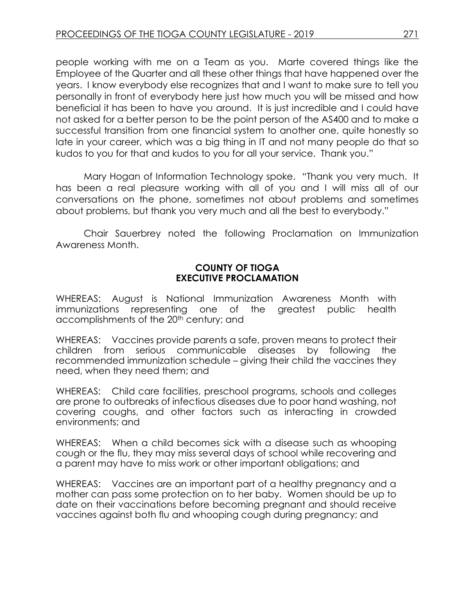people working with me on a Team as you. Marte covered things like the Employee of the Quarter and all these other things that have happened over the years. I know everybody else recognizes that and I want to make sure to tell you personally in front of everybody here just how much you will be missed and how beneficial it has been to have you around. It is just incredible and I could have not asked for a better person to be the point person of the AS400 and to make a successful transition from one financial system to another one, quite honestly so late in your career, which was a big thing in IT and not many people do that so kudos to you for that and kudos to you for all your service. Thank you."

Mary Hogan of Information Technology spoke. "Thank you very much. It has been a real pleasure working with all of you and I will miss all of our conversations on the phone, sometimes not about problems and sometimes about problems, but thank you very much and all the best to everybody."

Chair Sauerbrey noted the following Proclamation on Immunization Awareness Month.

#### **COUNTY OF TIOGA EXECUTIVE PROCLAMATION**

WHEREAS: August is National Immunization Awareness Month with immunizations representing one of the greatest public health accomplishments of the 20<sup>th</sup> century; and

WHEREAS: Vaccines provide parents a safe, proven means to protect their children from serious communicable diseases by following the recommended immunization schedule – giving their child the vaccines they need, when they need them; and

WHEREAS: Child care facilities, preschool programs, schools and colleges are prone to outbreaks of infectious diseases due to poor hand washing, not covering coughs, and other factors such as interacting in crowded environments; and

WHEREAS: When a child becomes sick with a disease such as whooping cough or the flu, they may miss several days of school while recovering and a parent may have to miss work or other important obligations; and

WHEREAS: Vaccines are an important part of a healthy pregnancy and a mother can pass some protection on to her baby. Women should be up to date on their vaccinations before becoming pregnant and should receive vaccines against both flu and whooping cough during pregnancy; and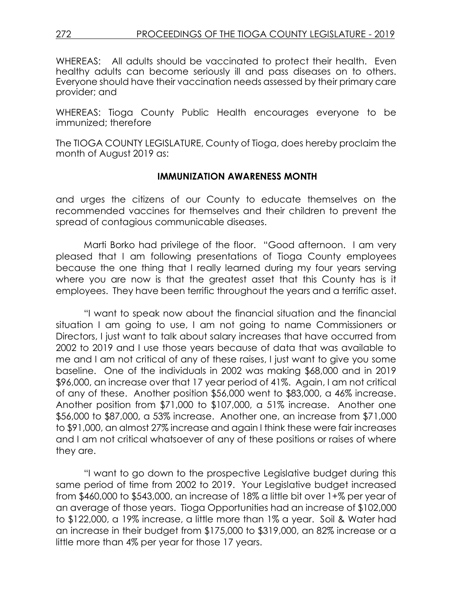WHEREAS: All adults should be vaccinated to protect their health. Even healthy adults can become seriously ill and pass diseases on to others. Everyone should have their vaccination needs assessed by their primary care provider; and

WHEREAS: Tioga County Public Health encourages everyone to be immunized; therefore

The TIOGA COUNTY LEGISLATURE, County of Tioga, does hereby proclaim the month of August 2019 as:

#### **IMMUNIZATION AWARENESS MONTH**

and urges the citizens of our County to educate themselves on the recommended vaccines for themselves and their children to prevent the spread of contagious communicable diseases.

Marti Borko had privilege of the floor. "Good afternoon. I am very pleased that I am following presentations of Tioga County employees because the one thing that I really learned during my four years serving where you are now is that the greatest asset that this County has is it employees. They have been terrific throughout the years and a terrific asset.

"I want to speak now about the financial situation and the financial situation I am going to use, I am not going to name Commissioners or Directors, I just want to talk about salary increases that have occurred from 2002 to 2019 and I use those years because of data that was available to me and I am not critical of any of these raises, I just want to give you some baseline. One of the individuals in 2002 was making \$68,000 and in 2019 \$96,000, an increase over that 17 year period of 41%. Again, I am not critical of any of these. Another position \$56,000 went to \$83,000, a 46% increase. Another position from \$71,000 to \$107,000, a 51% increase. Another one \$56,000 to \$87,000, a 53% increase. Another one, an increase from \$71,000 to \$91,000, an almost 27% increase and again I think these were fair increases and I am not critical whatsoever of any of these positions or raises of where they are.

"I want to go down to the prospective Legislative budget during this same period of time from 2002 to 2019. Your Legislative budget increased from \$460,000 to \$543,000, an increase of 18% a little bit over 1+% per year of an average of those years. Tioga Opportunities had an increase of \$102,000 to \$122,000, a 19% increase, a little more than 1% a year. Soil & Water had an increase in their budget from \$175,000 to \$319,000, an 82% increase or a little more than 4% per year for those 17 years.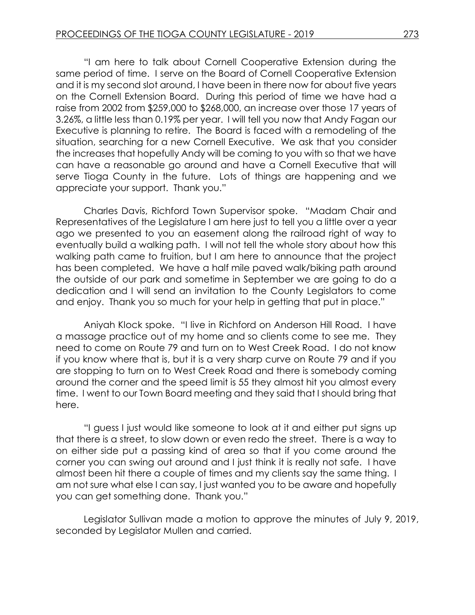"I am here to talk about Cornell Cooperative Extension during the same period of time. I serve on the Board of Cornell Cooperative Extension and it is my second slot around, I have been in there now for about five years on the Cornell Extension Board. During this period of time we have had a raise from 2002 from \$259,000 to \$268,000, an increase over those 17 years of 3.26%, a little less than 0.19% per year. I will tell you now that Andy Fagan our Executive is planning to retire. The Board is faced with a remodeling of the situation, searching for a new Cornell Executive. We ask that you consider the increases that hopefully Andy will be coming to you with so that we have can have a reasonable go around and have a Cornell Executive that will serve Tioga County in the future. Lots of things are happening and we appreciate your support. Thank you."

Charles Davis, Richford Town Supervisor spoke. "Madam Chair and Representatives of the Legislature I am here just to tell you a little over a year ago we presented to you an easement along the railroad right of way to eventually build a walking path. I will not tell the whole story about how this walking path came to fruition, but I am here to announce that the project has been completed. We have a half mile paved walk/biking path around the outside of our park and sometime in September we are going to do a dedication and I will send an invitation to the County Legislators to come and enjoy. Thank you so much for your help in getting that put in place."

Aniyah Klock spoke. "I live in Richford on Anderson Hill Road. I have a massage practice out of my home and so clients come to see me. They need to come on Route 79 and turn on to West Creek Road. I do not know if you know where that is, but it is a very sharp curve on Route 79 and if you are stopping to turn on to West Creek Road and there is somebody coming around the corner and the speed limit is 55 they almost hit you almost every time. I went to our Town Board meeting and they said that I should bring that here.

"I guess I just would like someone to look at it and either put signs up that there is a street, to slow down or even redo the street. There is a way to on either side put a passing kind of area so that if you come around the corner you can swing out around and I just think it is really not safe. I have almost been hit there a couple of times and my clients say the same thing. I am not sure what else I can say, I just wanted you to be aware and hopefully you can get something done. Thank you."

Legislator Sullivan made a motion to approve the minutes of July 9, 2019, seconded by Legislator Mullen and carried.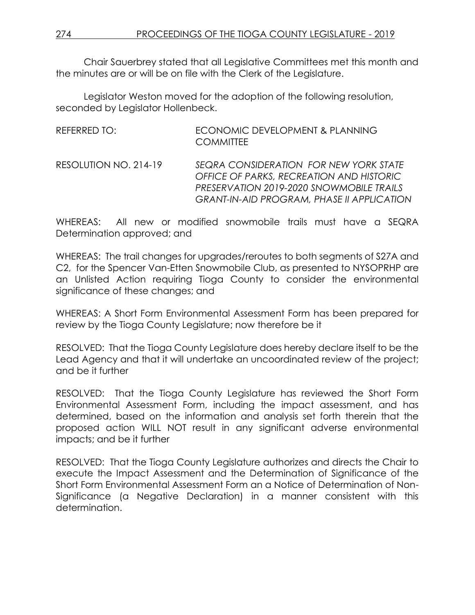Chair Sauerbrey stated that all Legislative Committees met this month and the minutes are or will be on file with the Clerk of the Legislature.

Legislator Weston moved for the adoption of the following resolution, seconded by Legislator Hollenbeck.

REFERRED TO: ECONOMIC DEVELOPMENT & PLANNING **COMMITTEE** RESOLUTION NO. 214-19 *SEQRA CONSIDERATION FOR NEW YORK STATE* 

*OFFICE OF PARKS, RECREATION AND HISTORIC PRESERVATION 2019-2020 SNOWMOBILE TRAILS GRANT-IN-AID PROGRAM, PHASE II APPLICATION*

WHEREAS: All new or modified snowmobile trails must have a SEQRA Determination approved; and

WHEREAS: The trail changes for upgrades/reroutes to both segments of S27A and C2, for the Spencer Van-Etten Snowmobile Club, as presented to NYSOPRHP are an Unlisted Action requiring Tioga County to consider the environmental significance of these changes; and

WHEREAS: A Short Form Environmental Assessment Form has been prepared for review by the Tioga County Legislature; now therefore be it

RESOLVED: That the Tioga County Legislature does hereby declare itself to be the Lead Agency and that it will undertake an uncoordinated review of the project; and be it further

RESOLVED: That the Tioga County Legislature has reviewed the Short Form Environmental Assessment Form, including the impact assessment, and has determined, based on the information and analysis set forth therein that the proposed action WILL NOT result in any significant adverse environmental impacts; and be it further

RESOLVED: That the Tioga County Legislature authorizes and directs the Chair to execute the Impact Assessment and the Determination of Significance of the Short Form Environmental Assessment Form an a Notice of Determination of Non-Significance (a Negative Declaration) in a manner consistent with this determination.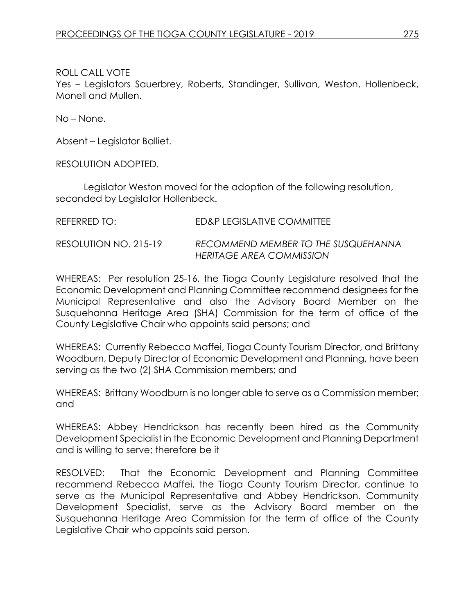Yes – Legislators Sauerbrey, Roberts, Standinger, Sullivan, Weston, Hollenbeck, Monell and Mullen.

No – None.

Absent – Legislator Balliet.

RESOLUTION ADOPTED.

Legislator Weston moved for the adoption of the following resolution, seconded by Legislator Hollenbeck.

| REFERRED TO:          | ED&P LEGISLATIVE COMMITTEE                                      |
|-----------------------|-----------------------------------------------------------------|
| RESOLUTION NO. 215-19 | RECOMMEND MEMBER TO THE SUSQUEHANNA<br>HERITAGE AREA COMMISSION |

WHEREAS: Per resolution 25-16, the Tioga County Legislature resolved that the Economic Development and Planning Committee recommend designees for the Municipal Representative and also the Advisory Board Member on the Susquehanna Heritage Area (SHA) Commission for the term of office of the County Legislative Chair who appoints said persons; and

WHEREAS: Currently Rebecca Maffei, Tioga County Tourism Director, and Brittany Woodburn, Deputy Director of Economic Development and Planning, have been serving as the two (2) SHA Commission members; and

WHEREAS: Brittany Woodburn is no longer able to serve as a Commission member; and

WHEREAS: Abbey Hendrickson has recently been hired as the Community Development Specialist in the Economic Development and Planning Department and is willing to serve; therefore be it

RESOLVED: That the Economic Development and Planning Committee recommend Rebecca Maffei, the Tioga County Tourism Director, continue to serve as the Municipal Representative and Abbey Hendrickson, Community Development Specialist, serve as the Advisory Board member on the Susquehanna Heritage Area Commission for the term of office of the County Legislative Chair who appoints said person.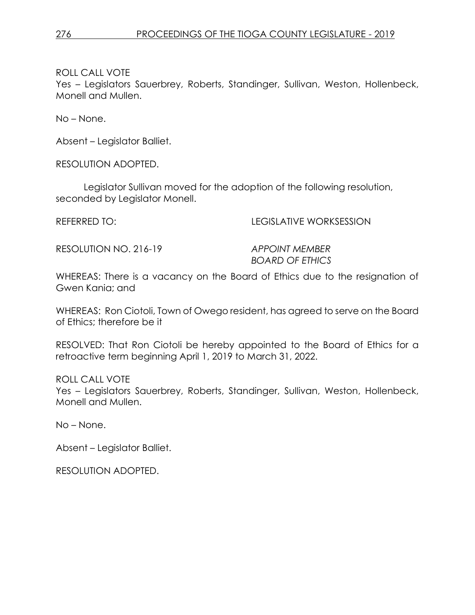Yes – Legislators Sauerbrey, Roberts, Standinger, Sullivan, Weston, Hollenbeck, Monell and Mullen.

No – None.

Absent – Legislator Balliet.

RESOLUTION ADOPTED.

Legislator Sullivan moved for the adoption of the following resolution, seconded by Legislator Monell.

REFERRED TO: LEGISLATIVE WORKSESSION

RESOLUTION NO. 216-19 *APPOINT MEMBER* 

*BOARD OF ETHICS*

WHEREAS: There is a vacancy on the Board of Ethics due to the resignation of Gwen Kania; and

WHEREAS: Ron Ciotoli, Town of Owego resident, has agreed to serve on the Board of Ethics; therefore be it

RESOLVED: That Ron Ciotoli be hereby appointed to the Board of Ethics for a retroactive term beginning April 1, 2019 to March 31, 2022.

ROLL CALL VOTE

Yes – Legislators Sauerbrey, Roberts, Standinger, Sullivan, Weston, Hollenbeck, Monell and Mullen.

No – None.

Absent – Legislator Balliet.

RESOLUTION ADOPTED.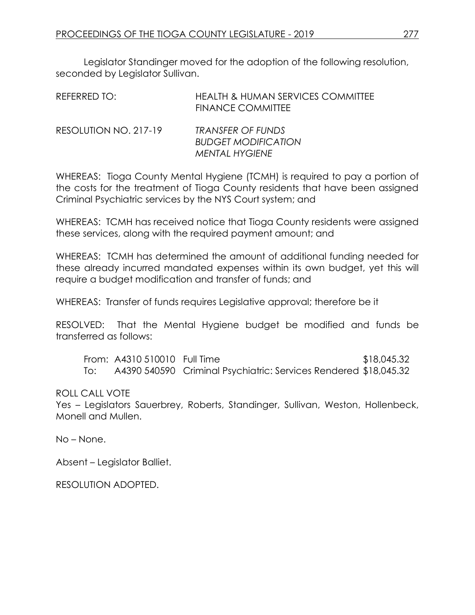Legislator Standinger moved for the adoption of the following resolution, seconded by Legislator Sullivan.

| REFERRED TO:          | <b>HEALTH &amp; HUMAN SERVICES COMMITTEE</b><br><b>FINANCE COMMITTEE</b> |
|-----------------------|--------------------------------------------------------------------------|
| RESOLUTION NO. 217-19 | <b>TRANSFER OF FUNDS</b><br><b>BUDGET MODIFICATION</b>                   |
|                       | <b>MENTAL HYGIENE</b>                                                    |

WHEREAS: Tioga County Mental Hygiene (TCMH) is required to pay a portion of the costs for the treatment of Tioga County residents that have been assigned Criminal Psychiatric services by the NYS Court system; and

WHEREAS: TCMH has received notice that Tioga County residents were assigned these services, along with the required payment amount; and

WHEREAS: TCMH has determined the amount of additional funding needed for these already incurred mandated expenses within its own budget, yet this will require a budget modification and transfer of funds; and

WHEREAS: Transfer of funds requires Legislative approval; therefore be it

RESOLVED: That the Mental Hygiene budget be modified and funds be transferred as follows:

From: A4310 510010 Full Time \$18,045.32 To: A4390 540590 Criminal Psychiatric: Services Rendered \$18,045.32

### ROLL CALL VOTE

Yes – Legislators Sauerbrey, Roberts, Standinger, Sullivan, Weston, Hollenbeck, Monell and Mullen.

No – None.

Absent – Legislator Balliet.

RESOLUTION ADOPTED.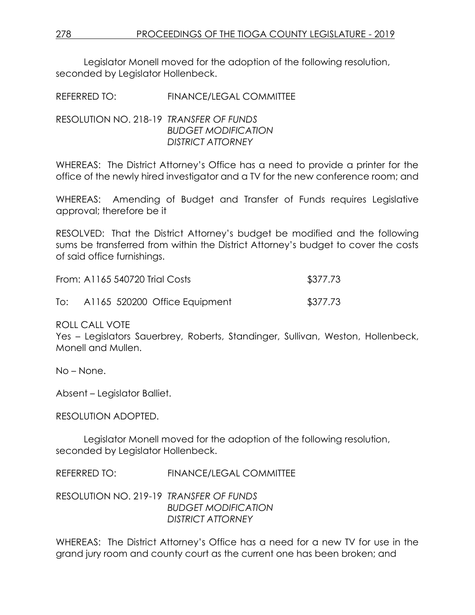Legislator Monell moved for the adoption of the following resolution, seconded by Legislator Hollenbeck.

REFERRED TO: FINANCE/LEGAL COMMITTEE

### RESOLUTION NO. 218-19 *TRANSFER OF FUNDS BUDGET MODIFICATION DISTRICT ATTORNEY*

WHEREAS: The District Attorney's Office has a need to provide a printer for the office of the newly hired investigator and a TV for the new conference room; and

WHEREAS: Amending of Budget and Transfer of Funds requires Legislative approval; therefore be it

RESOLVED: That the District Attorney's budget be modified and the following sums be transferred from within the District Attorney's budget to cover the costs of said office furnishings.

|     | From: A1165 540720 Trial Costs | \$377.73 |
|-----|--------------------------------|----------|
| To: | A1165 520200 Office Equipment  | \$377.73 |

ROLL CALL VOTE

Yes – Legislators Sauerbrey, Roberts, Standinger, Sullivan, Weston, Hollenbeck, Monell and Mullen.

No – None.

Absent – Legislator Balliet.

RESOLUTION ADOPTED.

Legislator Monell moved for the adoption of the following resolution, seconded by Legislator Hollenbeck.

REFERRED TO: FINANCE/LEGAL COMMITTEE

RESOLUTION NO. 219-19 *TRANSFER OF FUNDS BUDGET MODIFICATION DISTRICT ATTORNEY*

WHEREAS: The District Attorney's Office has a need for a new TV for use in the grand jury room and county court as the current one has been broken; and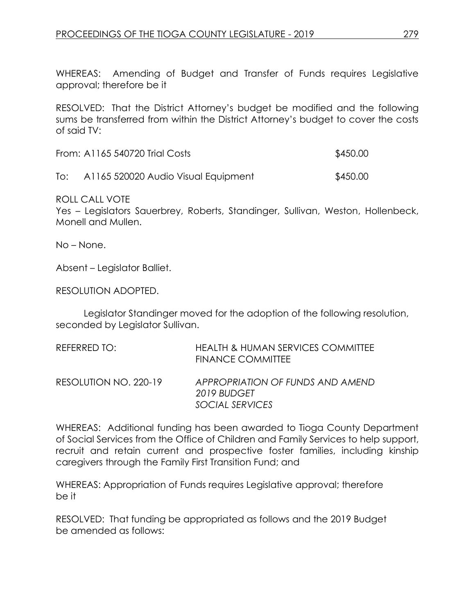WHEREAS: Amending of Budget and Transfer of Funds requires Legislative approval; therefore be it

RESOLVED: That the District Attorney's budget be modified and the following sums be transferred from within the District Attorney's budget to cover the costs of said TV:

| From: A1165 540720 Trial Costs | \$450.00 |
|--------------------------------|----------|
|                                |          |

To: A1165 520020 Audio Visual Equipment \$450.00

ROLL CALL VOTE

Yes – Legislators Sauerbrey, Roberts, Standinger, Sullivan, Weston, Hollenbeck, Monell and Mullen.

No – None.

Absent – Legislator Balliet.

RESOLUTION ADOPTED.

Legislator Standinger moved for the adoption of the following resolution, seconded by Legislator Sullivan.

| REFERRED TO:          | <b>HEALTH &amp; HUMAN SERVICES COMMITTEE</b><br><b>FINANCE COMMITTEE</b> |
|-----------------------|--------------------------------------------------------------------------|
| RESOLUTION NO. 220-19 | APPROPRIATION OF FUNDS AND AMEND<br>2019 BUDGET<br>SOCIAL SERVICES       |

WHEREAS: Additional funding has been awarded to Tioga County Department of Social Services from the Office of Children and Family Services to help support, recruit and retain current and prospective foster families, including kinship caregivers through the Family First Transition Fund; and

WHEREAS: Appropriation of Funds requires Legislative approval; therefore be it

RESOLVED: That funding be appropriated as follows and the 2019 Budget be amended as follows: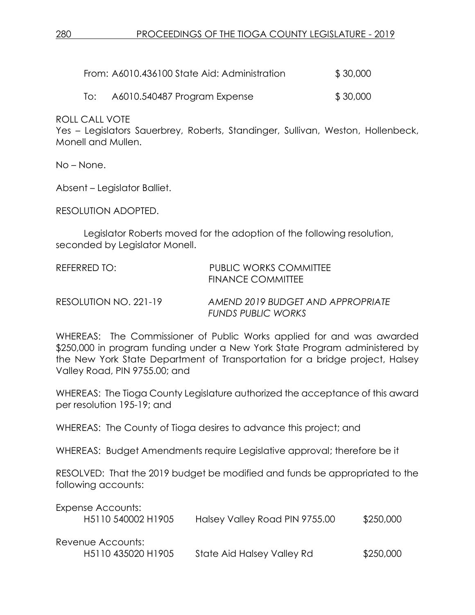| From: A6010.436100 State Aid: Administration | \$30,000 |
|----------------------------------------------|----------|
|                                              |          |

To: A6010.540487 Program Expense \$ 30,000

ROLL CALL VOTE

Yes – Legislators Sauerbrey, Roberts, Standinger, Sullivan, Weston, Hollenbeck, Monell and Mullen.

No – None.

Absent – Legislator Balliet.

RESOLUTION ADOPTED.

Legislator Roberts moved for the adoption of the following resolution, seconded by Legislator Monell.

| REFERRED TO:          | PUBLIC WORKS COMMITTEE<br>FINANCE COMMITTEE                    |
|-----------------------|----------------------------------------------------------------|
| RESOLUTION NO. 221-19 | AMEND 2019 BUDGET AND APPROPRIATE<br><b>FUNDS PUBLIC WORKS</b> |

WHEREAS: The Commissioner of Public Works applied for and was awarded \$250,000 in program funding under a New York State Program administered by the New York State Department of Transportation for a bridge project, Halsey Valley Road, PIN 9755.00; and

WHEREAS: The Tioga County Legislature authorized the acceptance of this award per resolution 195-19; and

WHEREAS: The County of Tioga desires to advance this project; and

WHEREAS: Budget Amendments require Legislative approval; therefore be it

RESOLVED: That the 2019 budget be modified and funds be appropriated to the following accounts:

| Expense Accounts:<br>H <sub>5</sub> 110 540002 H <sub>1905</sub> | Halsey Valley Road PIN 9755.00 | \$250,000 |
|------------------------------------------------------------------|--------------------------------|-----------|
| Revenue Accounts:<br>H5110 435020 H1905                          | State Aid Halsey Valley Rd     | \$250,000 |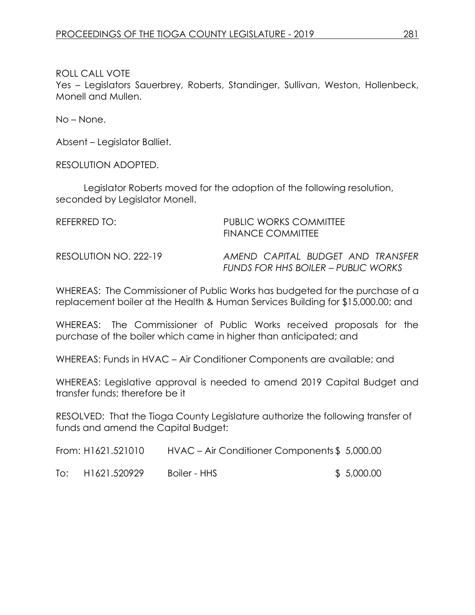Yes – Legislators Sauerbrey, Roberts, Standinger, Sullivan, Weston, Hollenbeck, Monell and Mullen.

No – None.

Absent – Legislator Balliet.

RESOLUTION ADOPTED.

Legislator Roberts moved for the adoption of the following resolution, seconded by Legislator Monell.

| REFERRED TO:          | <b>PUBLIC WORKS COMMITTEE</b><br><b>FINANCE COMMITTEE</b>                |  |  |
|-----------------------|--------------------------------------------------------------------------|--|--|
| RESOLUTION NO. 222-19 | AMEND CAPITAL BUDGET AND TRANSFER<br>FUNDS FOR HHS BOILER – PUBLIC WORKS |  |  |

WHEREAS: The Commissioner of Public Works has budgeted for the purchase of a replacement boiler at the Health & Human Services Building for \$15,000.00; and

WHEREAS: The Commissioner of Public Works received proposals for the purchase of the boiler which came in higher than anticipated; and

WHEREAS: Funds in HVAC – Air Conditioner Components are available; and

WHEREAS: Legislative approval is needed to amend 2019 Capital Budget and transfer funds; therefore be it

RESOLVED: That the Tioga County Legislature authorize the following transfer of funds and amend the Capital Budget:

|     | From: H1621.521010 |              | HVAC – Air Conditioner Components \$5,000.00 |  |
|-----|--------------------|--------------|----------------------------------------------|--|
| To: | H1621.520929       | Boiler - HHS | \$5,000.00                                   |  |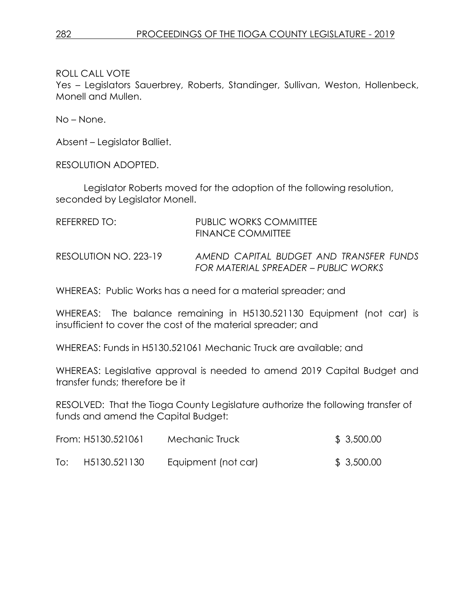Yes – Legislators Sauerbrey, Roberts, Standinger, Sullivan, Weston, Hollenbeck, Monell and Mullen.

No – None.

Absent – Legislator Balliet.

RESOLUTION ADOPTED.

Legislator Roberts moved for the adoption of the following resolution, seconded by Legislator Monell.

| REFERRED TO:          | PUBLIC WORKS COMMITTEE<br>FINANCE COMMITTEE                                     |
|-----------------------|---------------------------------------------------------------------------------|
| RESOLUTION NO. 223-19 | AMEND CAPITAL BUDGET AND TRANSFER FUNDS<br>FOR MATERIAL SPREADER – PUBLIC WORKS |

WHEREAS: Public Works has a need for a material spreader; and

WHEREAS: The balance remaining in H5130.521130 Equipment (not car) is insufficient to cover the cost of the material spreader; and

WHEREAS: Funds in H5130.521061 Mechanic Truck are available; and

WHEREAS: Legislative approval is needed to amend 2019 Capital Budget and transfer funds; therefore be it

RESOLVED: That the Tioga County Legislature authorize the following transfer of funds and amend the Capital Budget:

|     | From: H5130.521061 | Mechanic Truck      | \$3,500.00 |
|-----|--------------------|---------------------|------------|
| To: | H5130.521130       | Equipment (not car) | \$3,500.00 |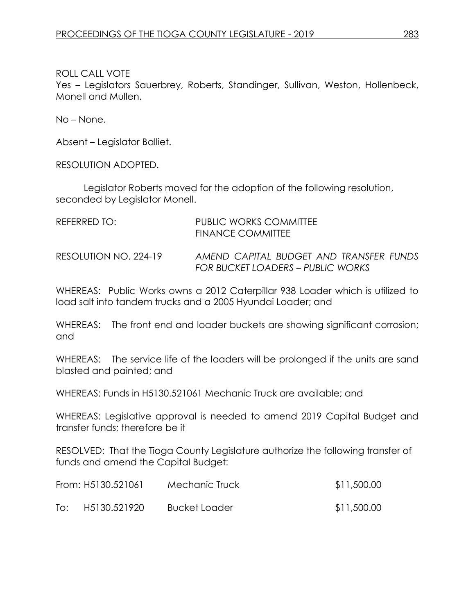Yes – Legislators Sauerbrey, Roberts, Standinger, Sullivan, Weston, Hollenbeck, Monell and Mullen.

No – None.

Absent – Legislator Balliet.

RESOLUTION ADOPTED.

Legislator Roberts moved for the adoption of the following resolution, seconded by Legislator Monell.

| REFERRED TO:          | PUBLIC WORKS COMMITTEE<br>FINANCE COMMITTEE                                  |
|-----------------------|------------------------------------------------------------------------------|
| RESOLUTION NO. 224-19 | AMEND CAPITAL BUDGET AND TRANSFER FUNDS<br>FOR BUCKET LOADERS – PUBLIC WORKS |

WHEREAS: Public Works owns a 2012 Caterpillar 938 Loader which is utilized to load salt into tandem trucks and a 2005 Hyundai Loader; and

WHEREAS: The front end and loader buckets are showing significant corrosion; and

WHEREAS: The service life of the loaders will be prolonged if the units are sand blasted and painted; and

WHEREAS: Funds in H5130.521061 Mechanic Truck are available; and

WHEREAS: Legislative approval is needed to amend 2019 Capital Budget and transfer funds; therefore be it

RESOLVED: That the Tioga County Legislature authorize the following transfer of funds and amend the Capital Budget:

|     | From: H5130.521061 | Mechanic Truck       | \$11,500.00 |
|-----|--------------------|----------------------|-------------|
| To: | H5130.521920       | <b>Bucket Loader</b> | \$11,500.00 |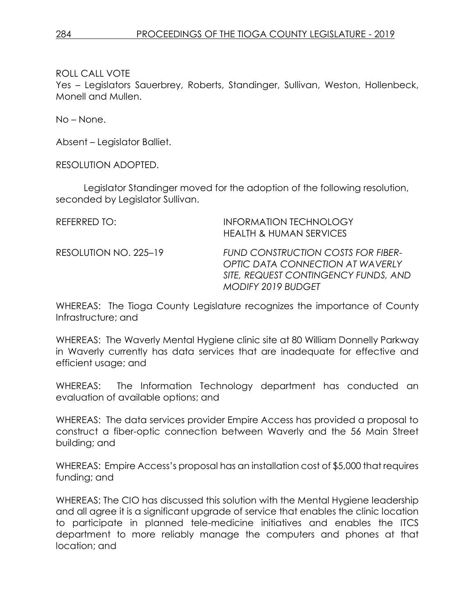Yes – Legislators Sauerbrey, Roberts, Standinger, Sullivan, Weston, Hollenbeck, Monell and Mullen.

No – None.

Absent – Legislator Balliet.

RESOLUTION ADOPTED.

Legislator Standinger moved for the adoption of the following resolution, seconded by Legislator Sullivan.

| REFERRED TO:          | <b>INFORMATION TECHNOLOGY</b><br><b>HEALTH &amp; HUMAN SERVICES</b>                                                                                |
|-----------------------|----------------------------------------------------------------------------------------------------------------------------------------------------|
| RESOLUTION NO. 225-19 | <b>FUND CONSTRUCTION COSTS FOR FIBER-</b><br>OPTIC DATA CONNECTION AT WAVERLY<br>SITE, REQUEST CONTINGENCY FUNDS, AND<br><b>MODIFY 2019 BUDGET</b> |

WHEREAS: The Tioga County Legislature recognizes the importance of County Infrastructure; and

WHEREAS: The Waverly Mental Hygiene clinic site at 80 William Donnelly Parkway in Waverly currently has data services that are inadequate for effective and efficient usage; and

WHEREAS: The Information Technology department has conducted an evaluation of available options; and

WHEREAS: The data services provider Empire Access has provided a proposal to construct a fiber-optic connection between Waverly and the 56 Main Street building; and

WHEREAS: Empire Access's proposal has an installation cost of \$5,000 that requires funding; and

WHEREAS: The CIO has discussed this solution with the Mental Hygiene leadership and all agree it is a significant upgrade of service that enables the clinic location to participate in planned tele-medicine initiatives and enables the ITCS department to more reliably manage the computers and phones at that location; and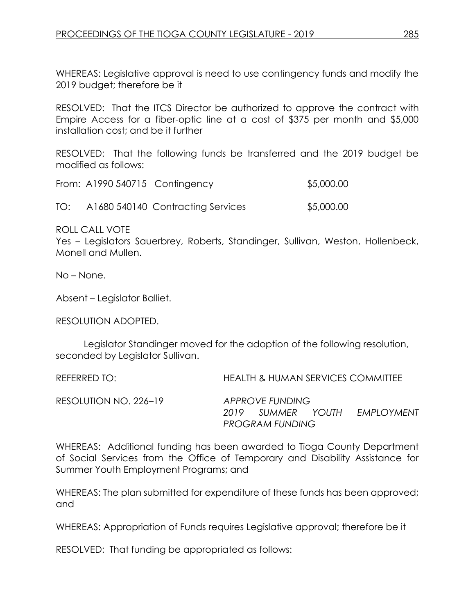WHEREAS: Legislative approval is need to use contingency funds and modify the 2019 budget; therefore be it

RESOLVED: That the ITCS Director be authorized to approve the contract with Empire Access for a fiber-optic line at a cost of \$375 per month and \$5,000 installation cost; and be it further

RESOLVED: That the following funds be transferred and the 2019 budget be modified as follows:

|     | From: A1990 540715 Contingency |                                   | \$5,000.00 |
|-----|--------------------------------|-----------------------------------|------------|
| TO: |                                | A1680 540140 Contracting Services | \$5,000.00 |

ROLL CALL VOTE

Yes – Legislators Sauerbrey, Roberts, Standinger, Sullivan, Weston, Hollenbeck, Monell and Mullen.

No – None.

Absent – Legislator Balliet.

RESOLUTION ADOPTED.

Legislator Standinger moved for the adoption of the following resolution, seconded by Legislator Sullivan.

REFERRED TO: HEALTH & HUMAN SERVICES COMMITTEE

RESOLUTION NO. 226–19 *APPROVE FUNDING* 

*2019 SUMMER YOUTH EMPLOYMENT PROGRAM FUNDING*

WHEREAS: Additional funding has been awarded to Tioga County Department of Social Services from the Office of Temporary and Disability Assistance for Summer Youth Employment Programs; and

WHEREAS: The plan submitted for expenditure of these funds has been approved; and

WHEREAS: Appropriation of Funds requires Legislative approval; therefore be it

RESOLVED: That funding be appropriated as follows: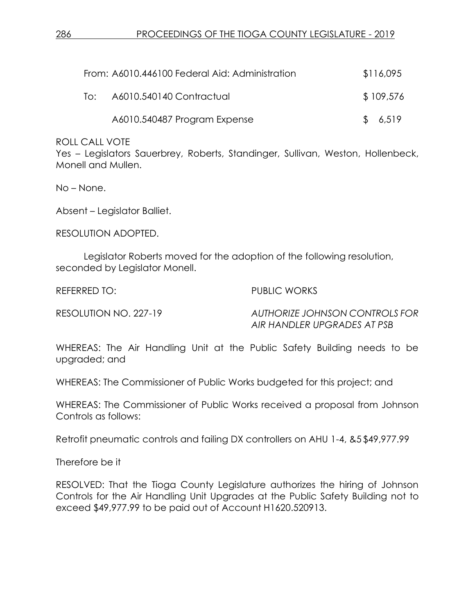|     | From: A6010.446100 Federal Aid: Administration | \$116,095 |
|-----|------------------------------------------------|-----------|
| ⊺o: | A6010.540140 Contractual                       | \$109,576 |
|     | A6010.540487 Program Expense                   | \$6,519   |

Yes – Legislators Sauerbrey, Roberts, Standinger, Sullivan, Weston, Hollenbeck, Monell and Mullen.

No – None.

Absent – Legislator Balliet.

RESOLUTION ADOPTED.

Legislator Roberts moved for the adoption of the following resolution, seconded by Legislator Monell.

REFERRED TO: PUBLIC WORKS

RESOLUTION NO. 227-19 *AUTHORIZE JOHNSON CONTROLS FOR AIR HANDLER UPGRADES AT PSB* 

WHEREAS: The Air Handling Unit at the Public Safety Building needs to be upgraded; and

WHEREAS: The Commissioner of Public Works budgeted for this project; and

WHEREAS: The Commissioner of Public Works received a proposal from Johnson Controls as follows:

Retrofit pneumatic controls and failing DX controllers on AHU 1-4, &5 \$49,977.99

Therefore be it

RESOLVED: That the Tioga County Legislature authorizes the hiring of Johnson Controls for the Air Handling Unit Upgrades at the Public Safety Building not to exceed \$49,977.99 to be paid out of Account H1620.520913.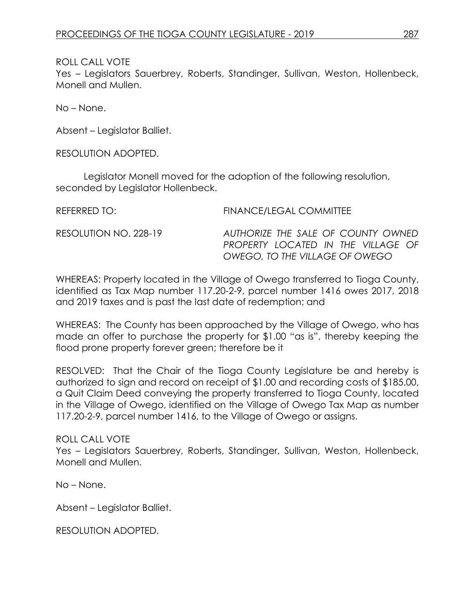Yes – Legislators Sauerbrey, Roberts, Standinger, Sullivan, Weston, Hollenbeck, Monell and Mullen.

No – None.

Absent – Legislator Balliet.

RESOLUTION ADOPTED.

Legislator Monell moved for the adoption of the following resolution, seconded by Legislator Hollenbeck.

REFERRED TO: FINANCE/LEGAL COMMITTEE RESOLUTION NO. 228-19 *AUTHORIZE THE SALE OF COUNTY OWNED PROPERTY LOCATED IN THE VILLAGE OF OWEGO, TO THE VILLAGE OF OWEGO*

WHEREAS: Property located in the Village of Owego transferred to Tioga County, identified as Tax Map number 117.20-2-9, parcel number 1416 owes 2017, 2018 and 2019 taxes and is past the last date of redemption; and

WHEREAS: The County has been approached by the Village of Owego, who has made an offer to purchase the property for \$1.00 "as is", thereby keeping the flood prone property forever green; therefore be it

RESOLVED: That the Chair of the Tioga County Legislature be and hereby is authorized to sign and record on receipt of \$1.00 and recording costs of \$185.00, a Quit Claim Deed conveying the property transferred to Tioga County, located in the Village of Owego, identified on the Village of Owego Tax Map as number 117.20-2-9, parcel number 1416, to the Village of Owego or assigns.

ROLL CALL VOTE Yes – Legislators Sauerbrey, Roberts, Standinger, Sullivan, Weston, Hollenbeck, Monell and Mullen.

No – None.

Absent – Legislator Balliet.

RESOLUTION ADOPTED.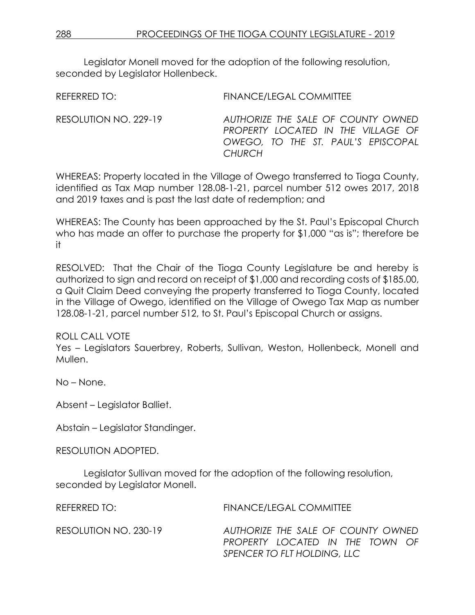Legislator Monell moved for the adoption of the following resolution, seconded by Legislator Hollenbeck.

REFERRED TO: FINANCE/LEGAL COMMITTEE RESOLUTION NO. 229-19 *AUTHORIZE THE SALE OF COUNTY OWNED PROPERTY LOCATED IN THE VILLAGE OF OWEGO, TO THE ST. PAUL'S EPISCOPAL CHURCH*

WHEREAS: Property located in the Village of Owego transferred to Tioga County, identified as Tax Map number 128.08-1-21, parcel number 512 owes 2017, 2018 and 2019 taxes and is past the last date of redemption; and

WHEREAS: The County has been approached by the St. Paul's Episcopal Church who has made an offer to purchase the property for \$1,000 "as is"; therefore be it

RESOLVED: That the Chair of the Tioga County Legislature be and hereby is authorized to sign and record on receipt of \$1,000 and recording costs of \$185.00, a Quit Claim Deed conveying the property transferred to Tioga County, located in the Village of Owego, identified on the Village of Owego Tax Map as number 128.08-1-21, parcel number 512, to St. Paul's Episcopal Church or assigns.

### ROLL CALL VOTE

Yes – Legislators Sauerbrey, Roberts, Sullivan, Weston, Hollenbeck, Monell and Mullen.

No – None.

Absent – Legislator Balliet.

Abstain – Legislator Standinger.

RESOLUTION ADOPTED.

Legislator Sullivan moved for the adoption of the following resolution, seconded by Legislator Monell.

REFERRED TO: FINANCE/LEGAL COMMITTEE

RESOLUTION NO. 230-19 *AUTHORIZE THE SALE OF COUNTY OWNED PROPERTY LOCATED IN THE TOWN OF SPENCER TO FLT HOLDING, LLC*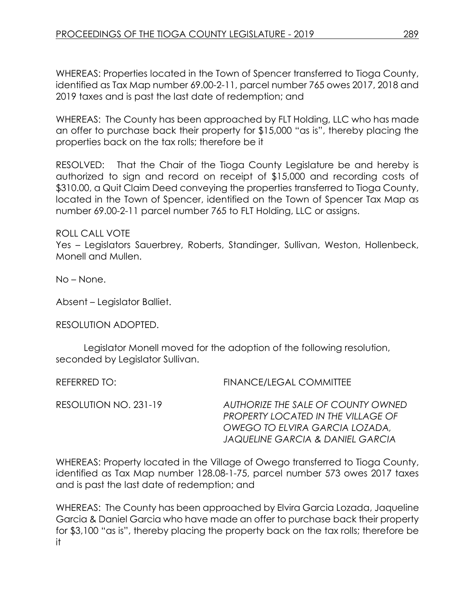WHEREAS: Properties located in the Town of Spencer transferred to Tioga County, identified as Tax Map number 69.00-2-11, parcel number 765 owes 2017, 2018 and 2019 taxes and is past the last date of redemption; and

WHEREAS: The County has been approached by FLT Holding, LLC who has made an offer to purchase back their property for \$15,000 "as is", thereby placing the properties back on the tax rolls; therefore be it

RESOLVED: That the Chair of the Tioga County Legislature be and hereby is authorized to sign and record on receipt of \$15,000 and recording costs of \$310.00, a Quit Claim Deed conveying the properties transferred to Tioga County, located in the Town of Spencer, identified on the Town of Spencer Tax Map as number 69.00-2-11 parcel number 765 to FLT Holding, LLC or assigns.

ROLL CALL VOTE

Yes – Legislators Sauerbrey, Roberts, Standinger, Sullivan, Weston, Hollenbeck, Monell and Mullen.

No – None.

Absent – Legislator Balliet.

RESOLUTION ADOPTED.

Legislator Monell moved for the adoption of the following resolution, seconded by Legislator Sullivan.

REFERRED TO: FINANCE/LEGAL COMMITTEE

RESOLUTION NO. 231-19 *AUTHORIZE THE SALE OF COUNTY OWNED* 

*PROPERTY LOCATED IN THE VILLAGE OF OWEGO TO ELVIRA GARCIA LOZADA, JAQUELINE GARCIA & DANIEL GARCIA*

WHEREAS: Property located in the Village of Owego transferred to Tioga County, identified as Tax Map number 128.08-1-75, parcel number 573 owes 2017 taxes and is past the last date of redemption; and

WHEREAS: The County has been approached by Elvira Garcia Lozada, Jaqueline Garcia & Daniel Garcia who have made an offer to purchase back their property for \$3,100 "as is", thereby placing the property back on the tax rolls; therefore be it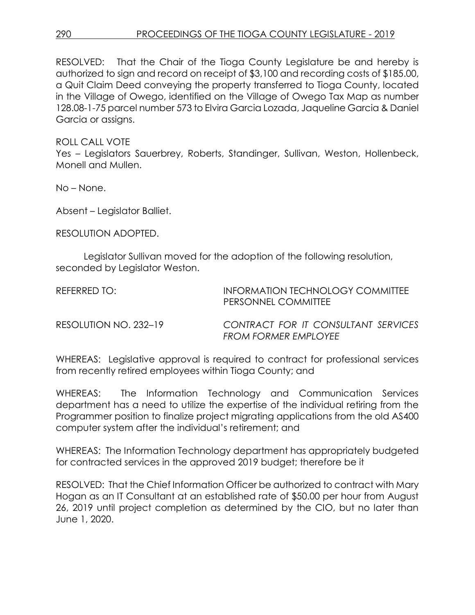## 290 PROCEEDINGS OF THE TIOGA COUNTY LEGISLATURE - 2019

RESOLVED: That the Chair of the Tioga County Legislature be and hereby is authorized to sign and record on receipt of \$3,100 and recording costs of \$185.00, a Quit Claim Deed conveying the property transferred to Tioga County, located in the Village of Owego, identified on the Village of Owego Tax Map as number 128.08-1-75 parcel number 573 to Elvira Garcia Lozada, Jaqueline Garcia & Daniel Garcia or assigns.

ROLL CALL VOTE

Yes – Legislators Sauerbrey, Roberts, Standinger, Sullivan, Weston, Hollenbeck, Monell and Mullen.

No – None.

Absent – Legislator Balliet.

RESOLUTION ADOPTED.

Legislator Sullivan moved for the adoption of the following resolution, seconded by Legislator Weston.

REFERRED TO: **INFORMATION TECHNOLOGY COMMITTEE** PERSONNEL COMMITTEE

RESOLUTION NO. 232–19 *CONTRACT FOR IT CONSULTANT SERVICES FROM FORMER EMPLOYEE*

WHEREAS: Legislative approval is required to contract for professional services from recently retired employees within Tioga County; and

WHEREAS: The Information Technology and Communication Services department has a need to utilize the expertise of the individual retiring from the Programmer position to finalize project migrating applications from the old AS400 computer system after the individual's retirement; and

WHEREAS: The Information Technology department has appropriately budgeted for contracted services in the approved 2019 budget; therefore be it

RESOLVED: That the Chief Information Officer be authorized to contract with Mary Hogan as an IT Consultant at an established rate of \$50.00 per hour from August 26, 2019 until project completion as determined by the CIO, but no later than June 1, 2020.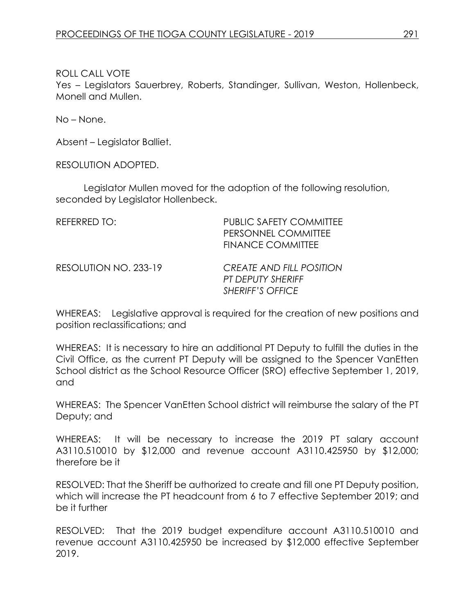Yes – Legislators Sauerbrey, Roberts, Standinger, Sullivan, Weston, Hollenbeck, Monell and Mullen.

No – None.

Absent – Legislator Balliet.

RESOLUTION ADOPTED.

Legislator Mullen moved for the adoption of the following resolution, seconded by Legislator Hollenbeck.

| REFERRED TO:          | <b>PUBLIC SAFETY COMMITTEE</b><br>PERSONNEL COMMITTEE<br><b>FINANCE COMMITTEE</b>      |
|-----------------------|----------------------------------------------------------------------------------------|
| RESOLUTION NO. 233-19 | <b>CREATE AND FILL POSITION</b><br><b>PT DEPUTY SHERIFF</b><br><b>SHERIFF'S OFFICE</b> |

WHEREAS: Legislative approval is required for the creation of new positions and position reclassifications; and

WHEREAS: It is necessary to hire an additional PT Deputy to fulfill the duties in the Civil Office, as the current PT Deputy will be assigned to the Spencer VanEtten School district as the School Resource Officer (SRO) effective September 1, 2019, and

WHEREAS: The Spencer VanEtten School district will reimburse the salary of the PT Deputy; and

WHEREAS: It will be necessary to increase the 2019 PT salary account A3110.510010 by \$12,000 and revenue account A3110.425950 by \$12,000; therefore be it

RESOLVED: That the Sheriff be authorized to create and fill one PT Deputy position, which will increase the PT headcount from 6 to 7 effective September 2019; and be it further

RESOLVED: That the 2019 budget expenditure account A3110.510010 and revenue account A3110.425950 be increased by \$12,000 effective September 2019.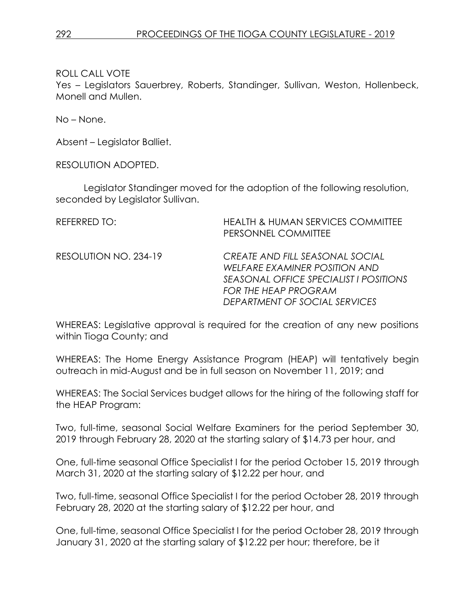Yes – Legislators Sauerbrey, Roberts, Standinger, Sullivan, Weston, Hollenbeck, Monell and Mullen.

No – None.

Absent – Legislator Balliet.

RESOLUTION ADOPTED.

Legislator Standinger moved for the adoption of the following resolution, seconded by Legislator Sullivan.

| REFERRED TO:          | <b>HEALTH &amp; HUMAN SERVICES COMMITTEE</b><br>PERSONNEL COMMITTEE                                                                                                        |
|-----------------------|----------------------------------------------------------------------------------------------------------------------------------------------------------------------------|
| RESOLUTION NO. 234-19 | CREATE AND FILL SEASONAL SOCIAL<br>WELFARE EXAMINER POSITION AND<br>SEASONAL OFFICE SPECIALIST I POSITIONS<br><b>FOR THE HEAP PROGRAM</b><br>DEPARTMENT OF SOCIAL SERVICES |

WHEREAS: Legislative approval is required for the creation of any new positions within Tioga County; and

WHEREAS: The Home Energy Assistance Program (HEAP) will tentatively begin outreach in mid-August and be in full season on November 11, 2019; and

WHEREAS: The Social Services budget allows for the hiring of the following staff for the HEAP Program:

Two, full-time, seasonal Social Welfare Examiners for the period September 30, 2019 through February 28, 2020 at the starting salary of \$14.73 per hour, and

One, full-time seasonal Office Specialist I for the period October 15, 2019 through March 31, 2020 at the starting salary of \$12.22 per hour, and

Two, full-time, seasonal Office Specialist I for the period October 28, 2019 through February 28, 2020 at the starting salary of \$12.22 per hour, and

One, full-time, seasonal Office Specialist I for the period October 28, 2019 through January 31, 2020 at the starting salary of \$12.22 per hour; therefore, be it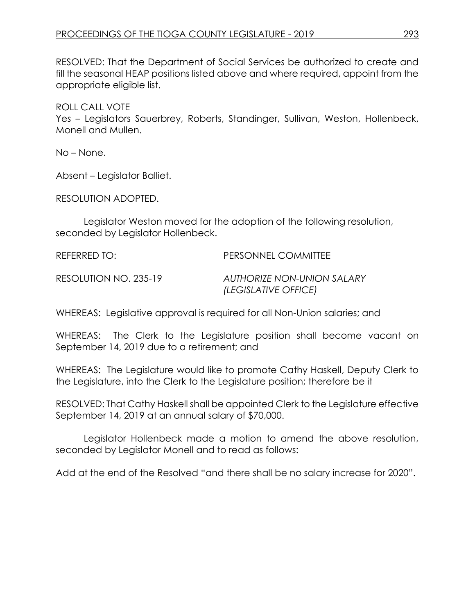RESOLVED: That the Department of Social Services be authorized to create and fill the seasonal HEAP positions listed above and where required, appoint from the appropriate eligible list.

ROLL CALL VOTE

Yes – Legislators Sauerbrey, Roberts, Standinger, Sullivan, Weston, Hollenbeck, Monell and Mullen.

No – None.

Absent – Legislator Balliet.

RESOLUTION ADOPTED.

Legislator Weston moved for the adoption of the following resolution, seconded by Legislator Hollenbeck.

REFERRED TO: PERSONNEL COMMITTEE

RESOLUTION NO. 235-19 *AUTHORIZE NON-UNION SALARY (LEGISLATIVE OFFICE)*

WHEREAS: Legislative approval is required for all Non-Union salaries; and

WHEREAS: The Clerk to the Legislature position shall become vacant on September 14, 2019 due to a retirement; and

WHEREAS: The Legislature would like to promote Cathy Haskell, Deputy Clerk to the Legislature, into the Clerk to the Legislature position; therefore be it

RESOLVED: That Cathy Haskell shall be appointed Clerk to the Legislature effective September 14, 2019 at an annual salary of \$70,000.

Legislator Hollenbeck made a motion to amend the above resolution, seconded by Legislator Monell and to read as follows:

Add at the end of the Resolved "and there shall be no salary increase for 2020".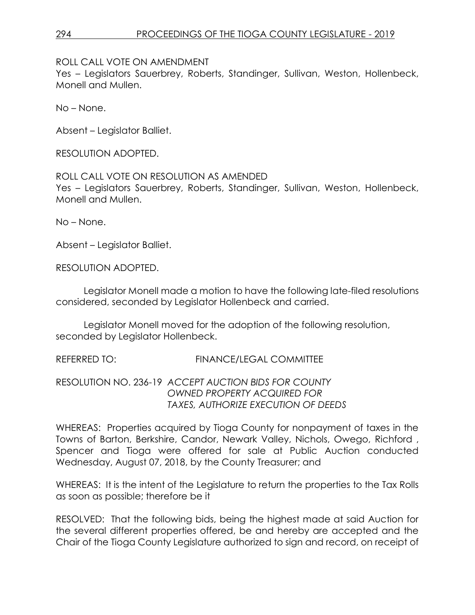ROLL CALL VOTE ON AMENDMENT

Yes – Legislators Sauerbrey, Roberts, Standinger, Sullivan, Weston, Hollenbeck, Monell and Mullen.

No – None.

Absent – Legislator Balliet.

RESOLUTION ADOPTED.

ROLL CALL VOTE ON RESOLUTION AS AMENDED Yes – Legislators Sauerbrey, Roberts, Standinger, Sullivan, Weston, Hollenbeck, Monell and Mullen.

No – None.

Absent – Legislator Balliet.

RESOLUTION ADOPTED.

Legislator Monell made a motion to have the following late-filed resolutions considered, seconded by Legislator Hollenbeck and carried.

Legislator Monell moved for the adoption of the following resolution, seconded by Legislator Hollenbeck.

REFERRED TO: FINANCE/LEGAL COMMITTEE

RESOLUTION NO. 236-19 *ACCEPT AUCTION BIDS FOR COUNTY OWNED PROPERTY ACQUIRED FOR TAXES, AUTHORIZE EXECUTION OF DEEDS*

WHEREAS: Properties acquired by Tioga County for nonpayment of taxes in the Towns of Barton, Berkshire, Candor, Newark Valley, Nichols, Owego, Richford , Spencer and Tioga were offered for sale at Public Auction conducted Wednesday, August 07, 2018, by the County Treasurer; and

WHEREAS: It is the intent of the Legislature to return the properties to the Tax Rolls as soon as possible; therefore be it

RESOLVED: That the following bids, being the highest made at said Auction for the several different properties offered, be and hereby are accepted and the Chair of the Tioga County Legislature authorized to sign and record, on receipt of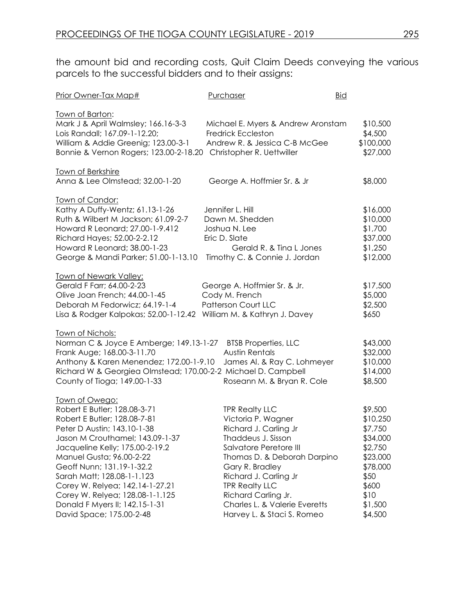the amount bid and recording costs, Quit Claim Deeds conveying the various parcels to the successful bidders and to their assigns:

| Prior Owner-Tax Map#                                                                                                                                                                                                                                                                                                                                                                                           | Purchaser                                                                                                                                                                                                                                                                                                      | <b>Bid</b>                                                                                                                   |
|----------------------------------------------------------------------------------------------------------------------------------------------------------------------------------------------------------------------------------------------------------------------------------------------------------------------------------------------------------------------------------------------------------------|----------------------------------------------------------------------------------------------------------------------------------------------------------------------------------------------------------------------------------------------------------------------------------------------------------------|------------------------------------------------------------------------------------------------------------------------------|
| <u>Town of Barton:</u><br>Mark J & April Walmsley; 166.16-3-3<br>Lois Randall; 167.09-1-12.20;<br>William & Addie Greenig; 123.00-3-1<br>Bonnie & Vernon Rogers; 123.00-2-18.20 Christopher R. Uettwiller                                                                                                                                                                                                      | Michael E. Myers & Andrew Aronstam<br><b>Fredrick Eccleston</b><br>Andrew R. & Jessica C-B McGee                                                                                                                                                                                                               | \$10,500<br>\$4,500<br>\$100,000<br>\$27,000                                                                                 |
| Town of Berkshire<br>Anna & Lee Olmstead; 32.00-1-20                                                                                                                                                                                                                                                                                                                                                           | George A. Hoffmier Sr. & Jr                                                                                                                                                                                                                                                                                    | \$8,000                                                                                                                      |
| Town of Candor:<br>Kathy A Duffy-Wentz; 61.13-1-26<br>Ruth & Wilbert M Jackson; 61.09-2-7<br>Howard R Leonard; 27.00-1-9.412<br>Richard Hayes; 52.00-2-2.12<br>Howard R Leonard; 38.00-1-23<br>George & Mandi Parker; 51.00-1-13.10 Timothy C. & Connie J. Jordan                                                                                                                                              | Jennifer L. Hill<br>Dawn M. Shedden<br>Joshua N. Lee<br>Eric D. Slate<br>Gerald R. & Tina L Jones                                                                                                                                                                                                              | \$16,000<br>\$10,000<br>\$1,700<br>\$37,000<br>\$1,250<br>\$12,000                                                           |
| <u>Town of Newark Valley:</u><br>Gerald F Farr; 64.00-2-23<br>Olive Joan French; 44.00-1-45<br>Deborah M Fedorwicz; 64.19-1-4<br>Lisa & Rodger Kalpokas; 52.00-1-12.42                                                                                                                                                                                                                                         | George A. Hoffmier Sr. & Jr.<br>Cody M. French<br><b>Patterson Court LLC</b><br>William M. & Kathryn J. Davey                                                                                                                                                                                                  | \$17,500<br>\$5,000<br>\$2,500<br>\$650                                                                                      |
| <u>Town of Nichols:</u><br>Norman C & Joyce E Amberge; 149.13-1-27 BTSB Properties, LLC<br>Frank Auge; 168.00-3-11.70<br>Anthony & Karen Menendez; 172.00-1-9.10<br>Richard W & Georgiea Olmstead; 170.00-2-2 Michael D. Campbell<br>County of Tioga; 149.00-1-33                                                                                                                                              | <b>Austin Rentals</b><br>James Al. & Ray C. Lohmeyer<br>Roseann M. & Bryan R. Cole                                                                                                                                                                                                                             | \$43,000<br>\$32,000<br>\$10,000<br>\$14,000<br>\$8,500                                                                      |
| Town of Owego:<br>Robert E Butler; 128.08-3-71<br>Robert E Butler; 128.08-7-81<br>Peter D Austin; 143.10-1-38<br>Jason M Crouthamel; 143.09-1-37<br>Jacqueline Kelly; 175.00-2-19.2<br>Manuel Gusta; 96.00-2-22<br>Geoff Nunn; 131.19-1-32.2<br>Sarah Matt; 128.08-1-1.123<br>Corey W. Relyea; 142.14-1-27.21<br>Corey W. Relyea; 128.08-1-1.125<br>Donald F Myers II; 142.15-1-31<br>David Space; 175.00-2-48 | <b>TPR Realty LLC</b><br>Victoria P. Wagner<br>Richard J. Carling Jr<br>Thaddeus J. Sisson<br>Salvatore Peretore III<br>Thomas D. & Deborah Darpino<br>Gary R. Bradley<br>Richard J. Carling Jr<br><b>TPR Realty LLC</b><br>Richard Carling Jr.<br>Charles L. & Valerie Everetts<br>Harvey L. & Staci S. Romeo | \$9,500<br>\$10,250<br>\$7,750<br>\$34,000<br>\$2,750<br>\$23,000<br>\$78,000<br>\$50<br>\$600<br>\$10<br>\$1,500<br>\$4,500 |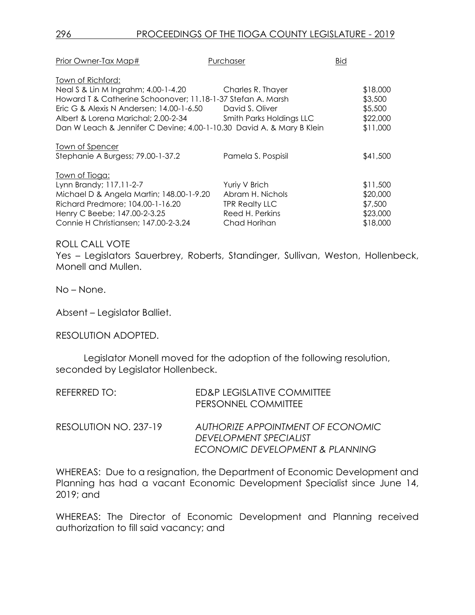| Prior Owner-Tax Map#                                                  | Purchaser                | <b>Bid</b> |          |
|-----------------------------------------------------------------------|--------------------------|------------|----------|
| Town of Richford:                                                     |                          |            |          |
| Neal S & Lin M Ingrahm; 4.00-1-4.20                                   | Charles R. Thayer        |            | \$18,000 |
| Howard T & Catherine Schoonover; 11.18-1-37 Stefan A. Marsh           |                          |            | \$3,500  |
| Eric G & Alexis N Andersen; 14.00-1-6.50                              | David S. Oliver          |            | \$5,500  |
| Albert & Lorena Marichal; 2.00-2-34                                   | Smith Parks Holdings LLC |            | \$22,000 |
| Dan W Leach & Jennifer C Devine; 4.00-1-10.30 David A. & Mary B Klein |                          |            | \$11,000 |
| Town of Spencer                                                       |                          |            |          |
| Stephanie A Burgess; 79.00-1-37.2                                     | Pamela S. Pospisil       |            | \$41,500 |
| <u> Town of Tioga:</u>                                                |                          |            |          |
| Lynn Brandy; 117.11-2-7                                               | Yuriy V Brich            |            | \$11,500 |
| Michael D & Angela Martin; 148.00-1-9.20                              | Abram H. Nichols         |            | \$20,000 |
| Richard Predmore; 104.00-1-16.20                                      | <b>TPR Realty LLC</b>    |            | \$7,500  |
| Henry C Beebe; 147.00-2-3.25                                          | Reed H. Perkins          |            | \$23,000 |
| Connie H Christiansen; 147.00-2-3.24                                  | Chad Horihan             |            | \$18,000 |

Yes – Legislators Sauerbrey, Roberts, Standinger, Sullivan, Weston, Hollenbeck, Monell and Mullen.

No – None.

Absent – Legislator Balliet.

RESOLUTION ADOPTED.

Legislator Monell moved for the adoption of the following resolution, seconded by Legislator Hollenbeck.

| REFERRED TO:          | ED&P LEGISLATIVE COMMITTEE<br>PERSONNEL COMMITTEE           |
|-----------------------|-------------------------------------------------------------|
| RESOLUTION NO. 237-19 | AUTHORIZE APPOINTMENT OF ECONOMIC<br>DEVELOPMENT SPECIALIST |
|                       | ECONOMIC DEVELOPMENT & PLANNING                             |

WHEREAS: Due to a resignation, the Department of Economic Development and Planning has had a vacant Economic Development Specialist since June 14, 2019; and

WHEREAS: The Director of Economic Development and Planning received authorization to fill said vacancy; and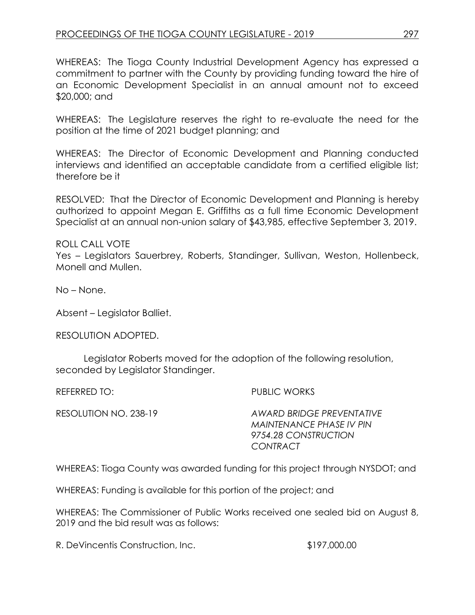WHEREAS: The Tioga County Industrial Development Agency has expressed a commitment to partner with the County by providing funding toward the hire of an Economic Development Specialist in an annual amount not to exceed \$20,000; and

WHEREAS: The Legislature reserves the right to re-evaluate the need for the position at the time of 2021 budget planning; and

WHEREAS: The Director of Economic Development and Planning conducted interviews and identified an acceptable candidate from a certified eligible list; therefore be it

RESOLVED: That the Director of Economic Development and Planning is hereby authorized to appoint Megan E. Griffiths as a full time Economic Development Specialist at an annual non-union salary of \$43,985, effective September 3, 2019.

ROLL CALL VOTE Yes – Legislators Sauerbrey, Roberts, Standinger, Sullivan, Weston, Hollenbeck, Monell and Mullen.

No – None.

Absent – Legislator Balliet.

RESOLUTION ADOPTED.

Legislator Roberts moved for the adoption of the following resolution, seconded by Legislator Standinger.

REFERRED TO: PUBLIC WORKS

RESOLUTION NO. 238-19 *AWARD BRIDGE PREVENTATIVE MAINTENANCE PHASE IV PIN 9754.28 CONSTRUCTION CONTRACT* 

WHEREAS: Tioga County was awarded funding for this project through NYSDOT; and

WHEREAS: Funding is available for this portion of the project; and

WHEREAS: The Commissioner of Public Works received one sealed bid on August 8, 2019 and the bid result was as follows:

R. DeVincentis Construction, Inc.  $$197,000.00$